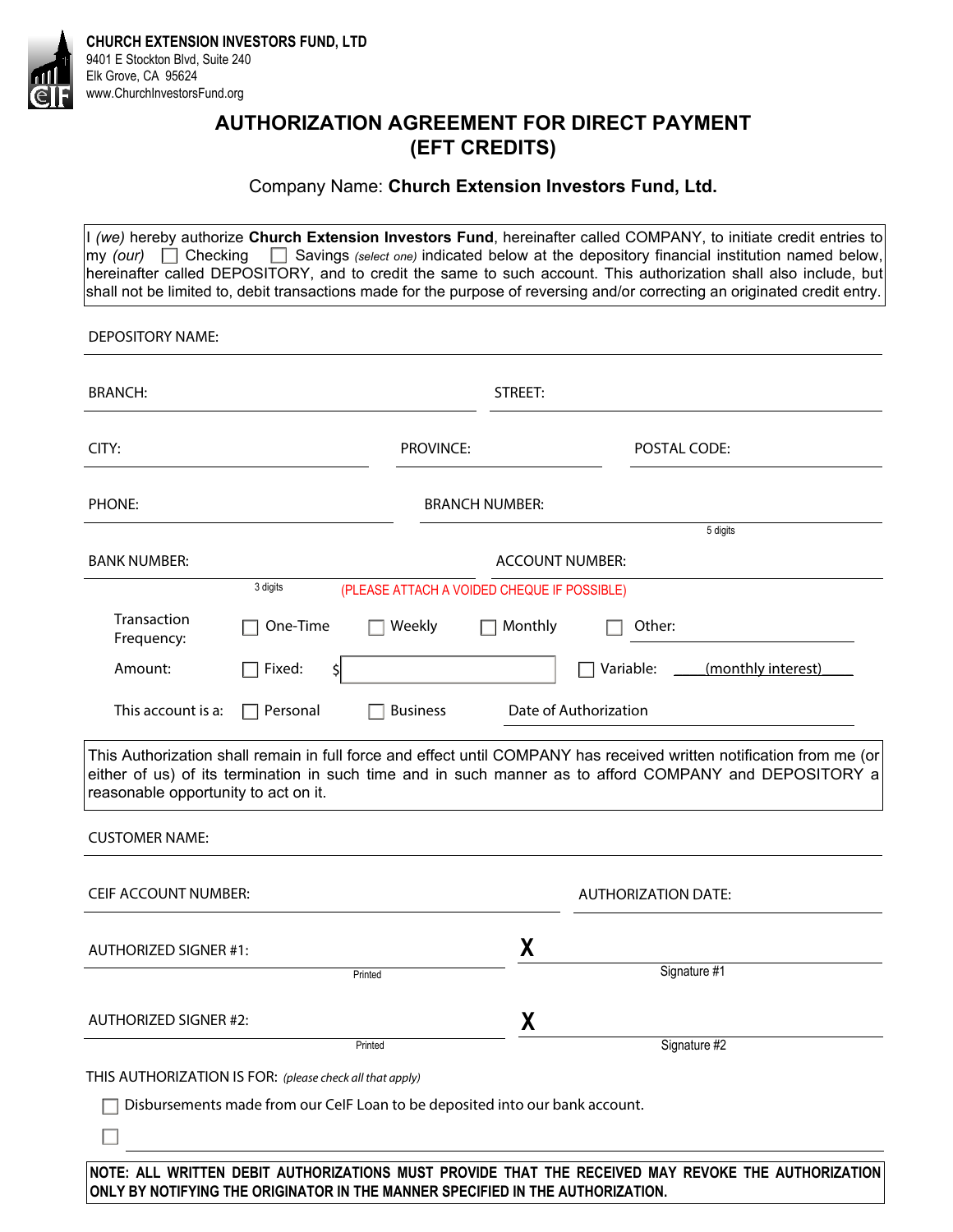

**CHURCH EXTENSION INVESTORS FUND, LTD**  9401 E Stockton Blvd, Suite 240 Elk Grove, CA 95624 www.ChurchInvestorsFund.org

## **AUTHORIZATION AGREEMENT FOR DIRECT PAYMENT (EFT CREDITS)**

### Company Name: **Church Extension Investors Fund, Ltd.**

I *(we)* hereby authorize **Church Extension Investors Fund**, hereinafter called COMPANY, to initiate credit entries to my *(our)* Checking Savings *(select one)* indicated below at the depository financial institution named below, hereinafter called DEPOSITORY, and to credit the same to such account. This authorization shall also include, but shall not be limited to, debit transactions made for the purpose of reversing and/or correcting an originated credit entry.

DEPOSITORY NAME:

| <b>BRANCH:</b>                                                                                                                                                                                                                                                         |               |                       | STREET:                |                                 |
|------------------------------------------------------------------------------------------------------------------------------------------------------------------------------------------------------------------------------------------------------------------------|---------------|-----------------------|------------------------|---------------------------------|
| CITY:                                                                                                                                                                                                                                                                  |               | <b>PROVINCE:</b>      |                        | POSTAL CODE:                    |
| PHONE:                                                                                                                                                                                                                                                                 |               | <b>BRANCH NUMBER:</b> |                        |                                 |
| <b>BANK NUMBER:</b>                                                                                                                                                                                                                                                    |               |                       | <b>ACCOUNT NUMBER:</b> | 5 digits                        |
| 3 digits<br>(PLEASE ATTACH A VOIDED CHEQUE IF POSSIBLE)                                                                                                                                                                                                                |               |                       |                        |                                 |
| Transaction<br>Frequency:                                                                                                                                                                                                                                              | One-Time      | Weekly                | Monthly                | Other:                          |
| Amount:                                                                                                                                                                                                                                                                | Fixed:<br>\$l |                       |                        | Variable:<br>(monthly interest) |
| This account is a:                                                                                                                                                                                                                                                     | Personal      | <b>Business</b>       |                        | Date of Authorization           |
| This Authorization shall remain in full force and effect until COMPANY has received written notification from me (or<br>either of us) of its termination in such time and in such manner as to afford COMPANY and DEPOSITORY a<br>reasonable opportunity to act on it. |               |                       |                        |                                 |
| <b>CUSTOMER NAME:</b>                                                                                                                                                                                                                                                  |               |                       |                        |                                 |
| <b>CEIF ACCOUNT NUMBER:</b>                                                                                                                                                                                                                                            |               |                       |                        | <b>AUTHORIZATION DATE:</b>      |
| <b>AUTHORIZED SIGNER #1:</b>                                                                                                                                                                                                                                           |               |                       | X                      |                                 |
|                                                                                                                                                                                                                                                                        | Printed       |                       |                        | Signature #1                    |
| <b>AUTHORIZED SIGNER #2:</b>                                                                                                                                                                                                                                           |               |                       | X                      |                                 |
|                                                                                                                                                                                                                                                                        | Printed       |                       |                        | Signature #2                    |
| THIS AUTHORIZATION IS FOR: (please check all that apply)                                                                                                                                                                                                               |               |                       |                        |                                 |
| Disbursements made from our CelF Loan to be deposited into our bank account.                                                                                                                                                                                           |               |                       |                        |                                 |
|                                                                                                                                                                                                                                                                        |               |                       |                        |                                 |

**NOTE: ALL WRITTEN DEBIT AUTHORIZATIONS MUST PROVIDE THAT THE RECEIVED MAY REVOKE THE AUTHORIZATION ONLY BY NOTIFYING THE ORIGINATOR IN THE MANNER SPECIFIED IN THE AUTHORIZATION.**